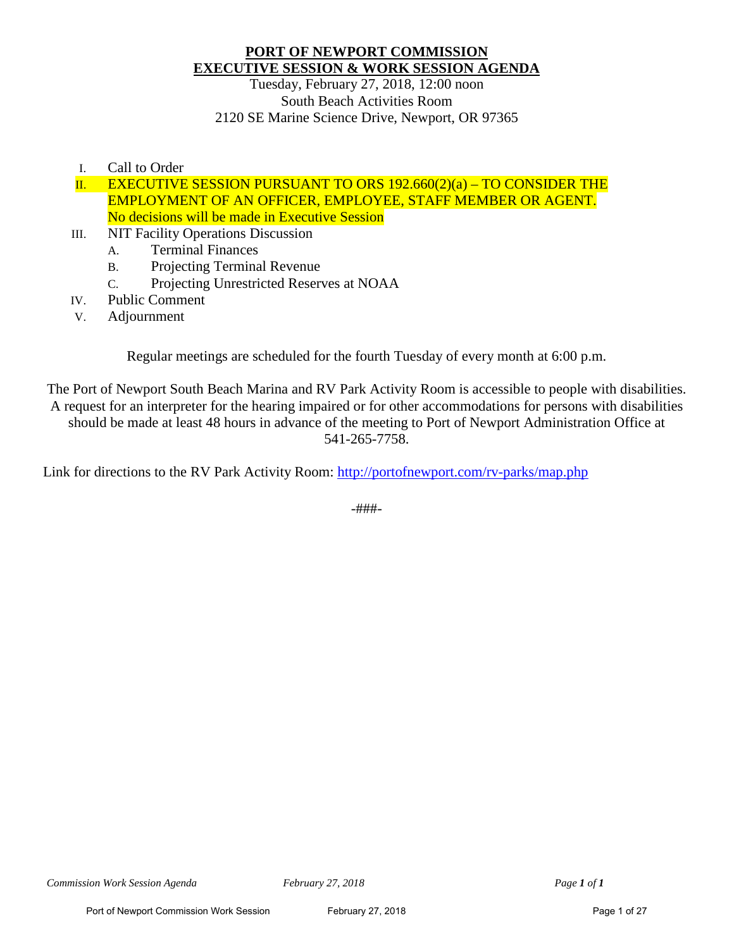## **PORT OF NEWPORT COMMISSION EXECUTIVE SESSION & WORK SESSION AGENDA**

Tuesday, February 27, 2018, 12:00 noon South Beach Activities Room 2120 SE Marine Science Drive, Newport, OR 97365

I. Call to Order

II. EXECUTIVE SESSION PURSUANT TO ORS  $192.660(2)(a) - TO CONSIDER THE$ EMPLOYMENT OF AN OFFICER, EMPLOYEE, STAFF MEMBER OR AGENT. No decisions will be made in Executive Session

- III. NIT Facility Operations Discussion
	- A. Terminal Finances
	- B. Projecting Terminal Revenue
	- C. Projecting Unrestricted Reserves at NOAA
- IV. Public Comment
- V. Adjournment

Regular meetings are scheduled for the fourth Tuesday of every month at 6:00 p.m.

The Port of Newport South Beach Marina and RV Park Activity Room is accessible to people with disabilities. A request for an interpreter for the hearing impaired or for other accommodations for persons with disabilities should be made at least 48 hours in advance of the meeting to Port of Newport Administration Office at 541-265-7758.

Link for directions to the RV Park Activity Room:<http://portofnewport.com/rv-parks/map.php>

-###-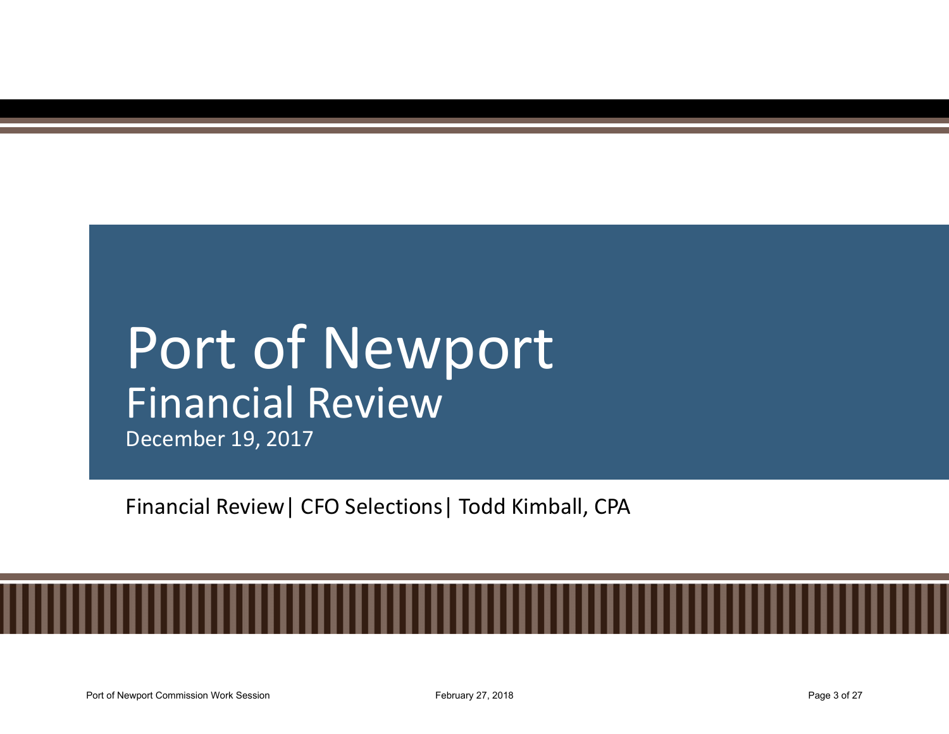## Port of Newport Financial Review

December 19, 2017

Financial Review| CFO Selections| Todd Kimball, CPA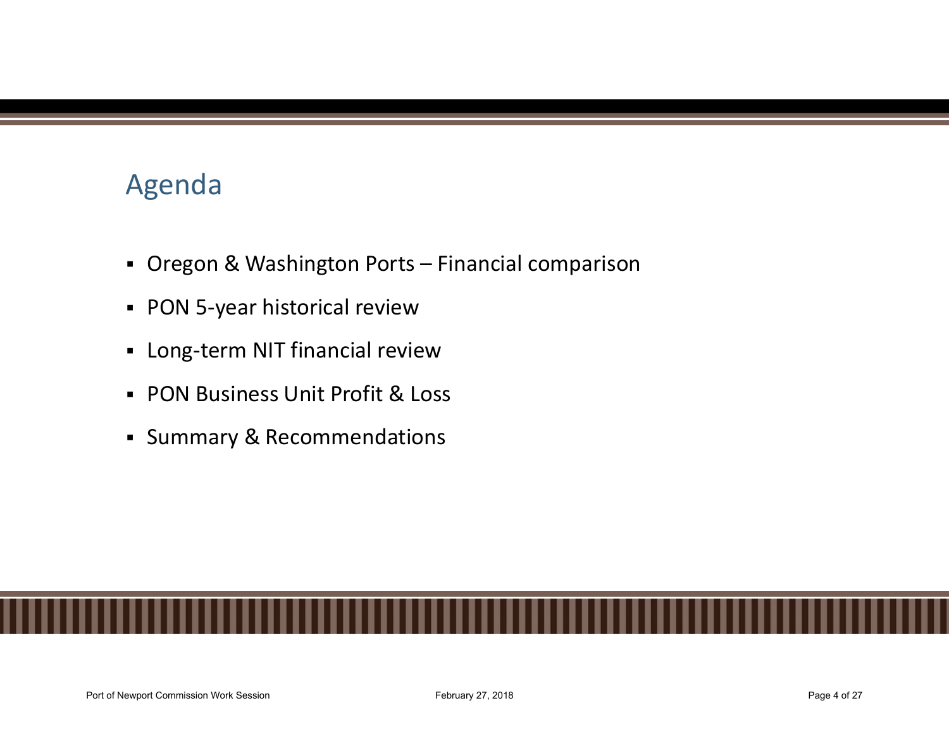## Agenda

- Agenda<br>• Oregon & Washington Ports Financial comparison<br>• PON 5-year historical review<br>• Long-term NIT financial review
- PON 5-year historical review
- **-** Long-term NIT financial review
- PON Business Unit Profit & Loss
- **Summary & Recommendations**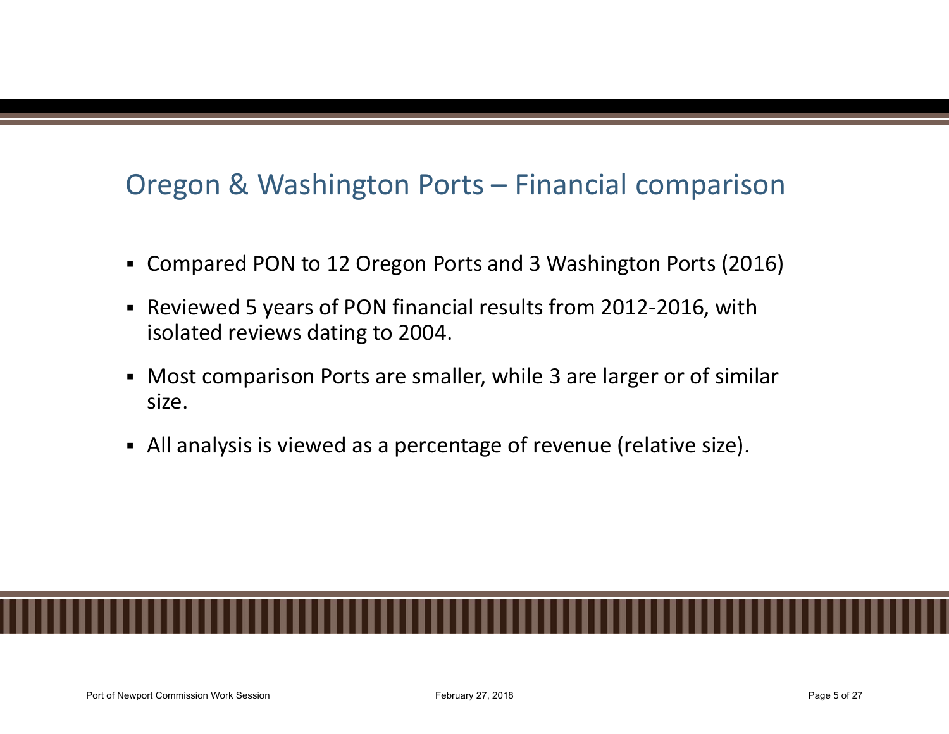# Oregon & Washington Ports – Financial comparison<br>• Compared PON to 12 Oregon Ports and 3 Washington Ports (2016)

- Compared PON to 12 Oregon Ports and 3 Washington Ports (2016)
- Reviewed 5 years of PON financial results from 2012-2016, with isolated reviews dating to 2004.
- Most comparison Ports are smaller, while 3 are larger or of similar size.
- All analysis is viewed as a percentage of revenue (relative size).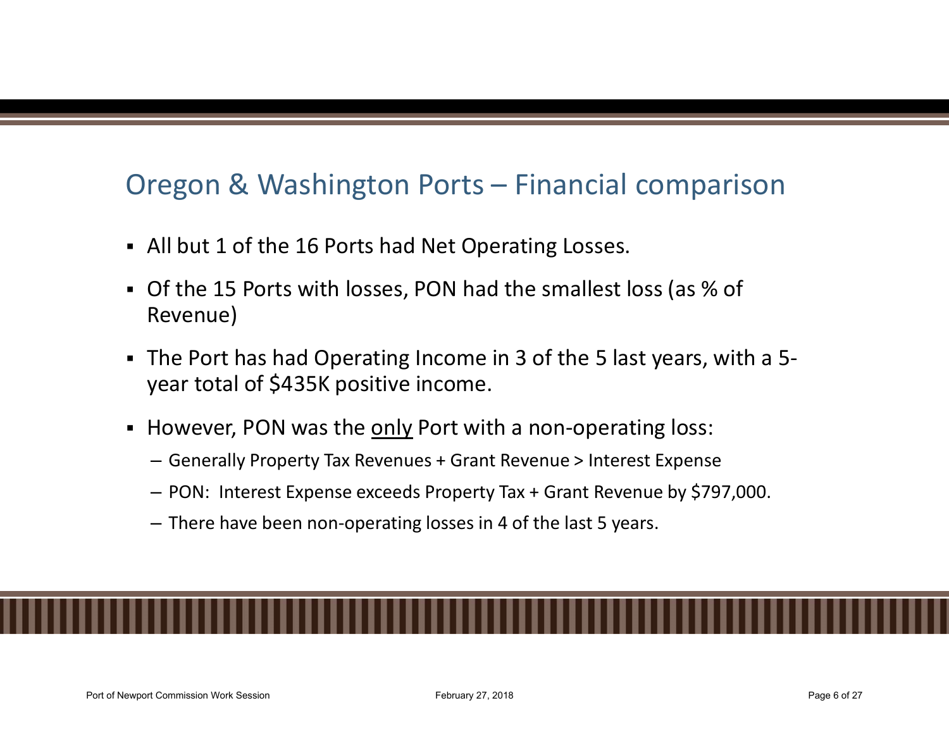# Oregon & Washington Ports – Financial comparison<br>• All but 1 of the 16 Ports had Net Operating Losses.

- All but 1 of the 16 Ports had Net Operating Losses.
- Of the 15 Ports with losses, PON had the smallest loss (as % of Revenue)
- The Port has had Operating Income in 3 of the 5 last years, with a 5 year total of \$435K positive income. Oregon & Washington Ports – Financial comparison<br>
• All but 1 of the 16 Ports had Net Operating Losses.<br>
• Of the 15 Ports with losses, PON had the smallest loss (as % of<br>
Revenue)<br>
• The Port has had Operating Income in 3
- -
	-
	-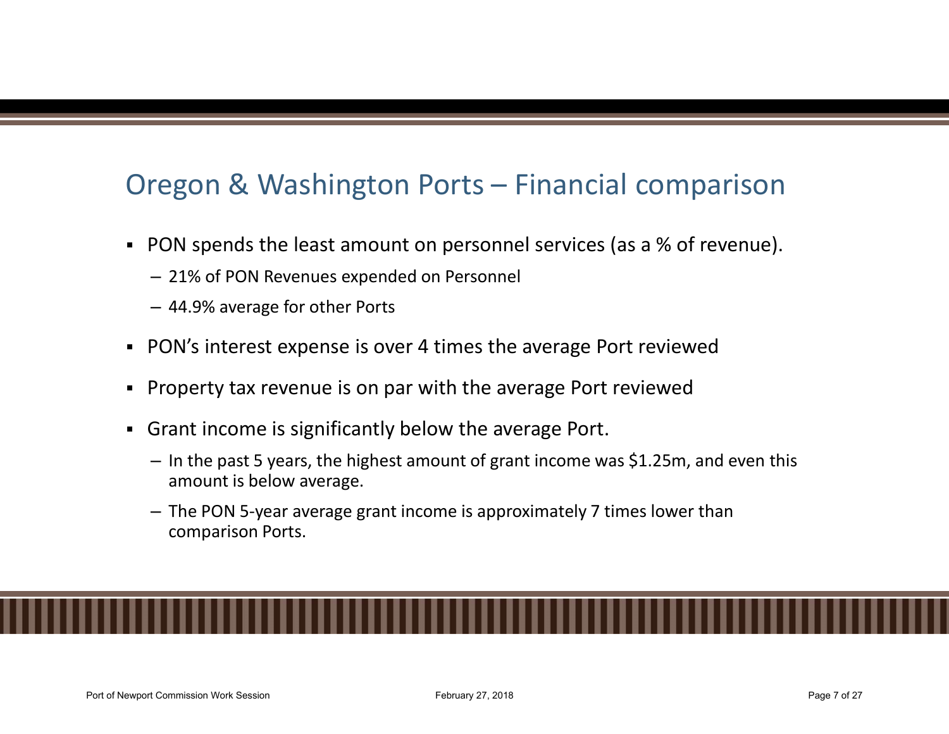# Oregon & Washington Ports – Financial comparison<br>
PON spends the least amount on personnel services (as a % of revenue).<br>
- 21% of PON Revenues expended on Personnel.

- PON spends the least amount on personnel services (as a % of revenue).
	- 21% of PON Revenues expended on Personnel
	- 44.9% average for other Ports
- PON's interest expense is over 4 times the average Port reviewed
- Property tax revenue is on par with the average Port reviewed
- Grant income is significantly below the average Port.
	- In the past 5 years, the highest amount of grant income was \$1.25m, and even this amount is below average.
	- The PON 5-year average grant income is approximately 7 times lower than comparison Ports.

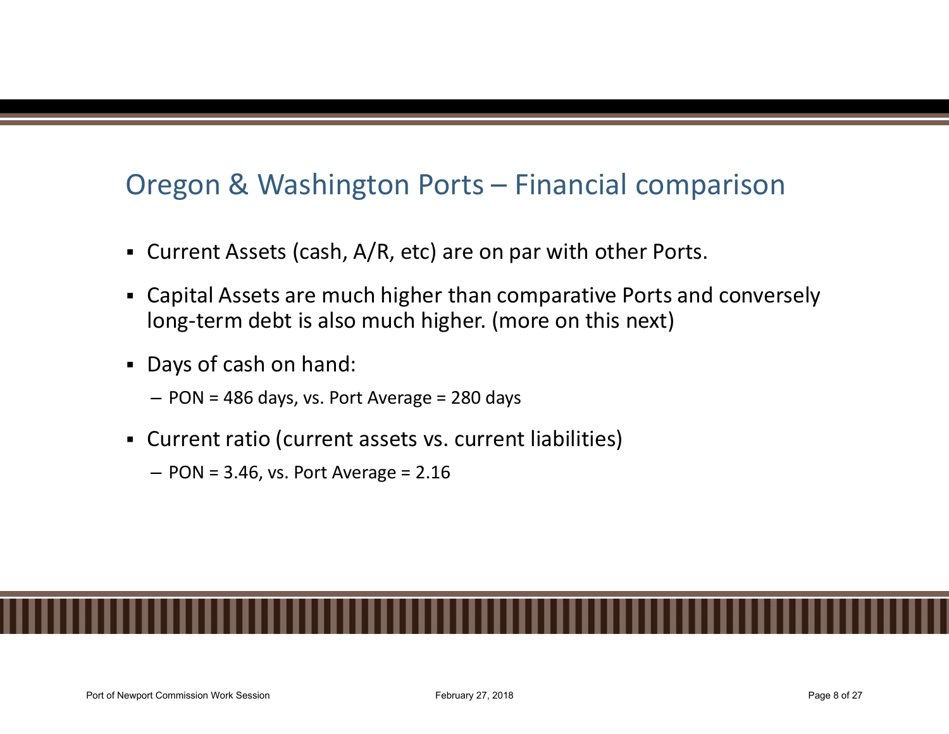# Oregon & Washington Ports – Financial comparison<br>• Current Assets (cash, A/R, etc) are on par with other Ports.

- Current Assets (cash, A/R, etc) are on par with other Ports.
- Capital Assets are much higher than comparative Ports and conversely long-term debt is also much higher. (more on this next)
- Days of cash on hand:
	- PON = 486 days, vs. Port Average = 280 days
- Current ratio (current assets vs. current liabilities)
	- $-$  PON = 3.46, vs. Port Average = 2.16

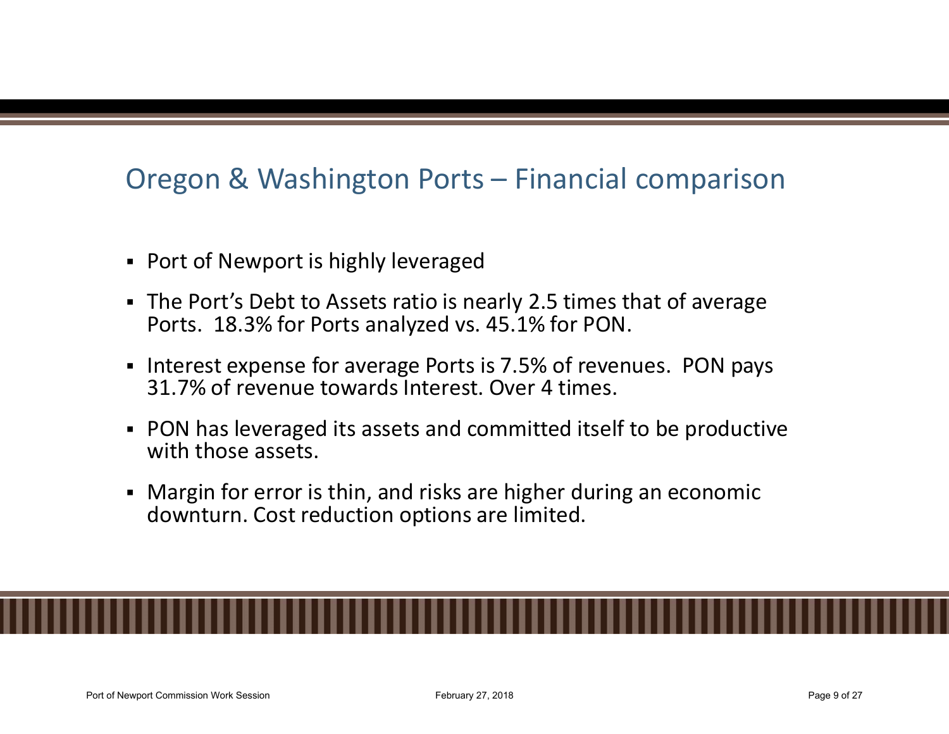# Oregon & Washington Ports – Financial comparison

- Port of Newport is highly leveraged
- The Port's Debt to Assets ratio is nearly 2.5 times that of average Ports. 18.3% for Ports analyzed vs. 45.1% for PON.
- Interest expense for average Ports is 7.5% of revenues. PON pays 31.7% of revenue towards Interest. Over 4 times.
- PON has leveraged its assets and committed itself to be productive with those assets.
- Margin for error is thin, and risks are higher during an economic downturn. Cost reduction options are limited.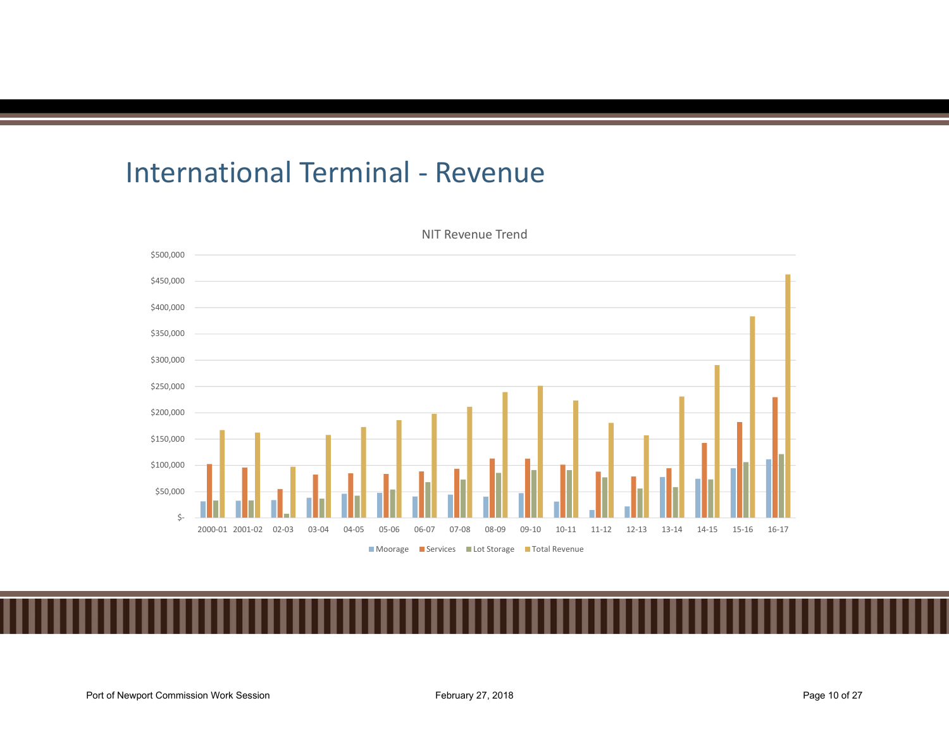

NIT Revenue Trend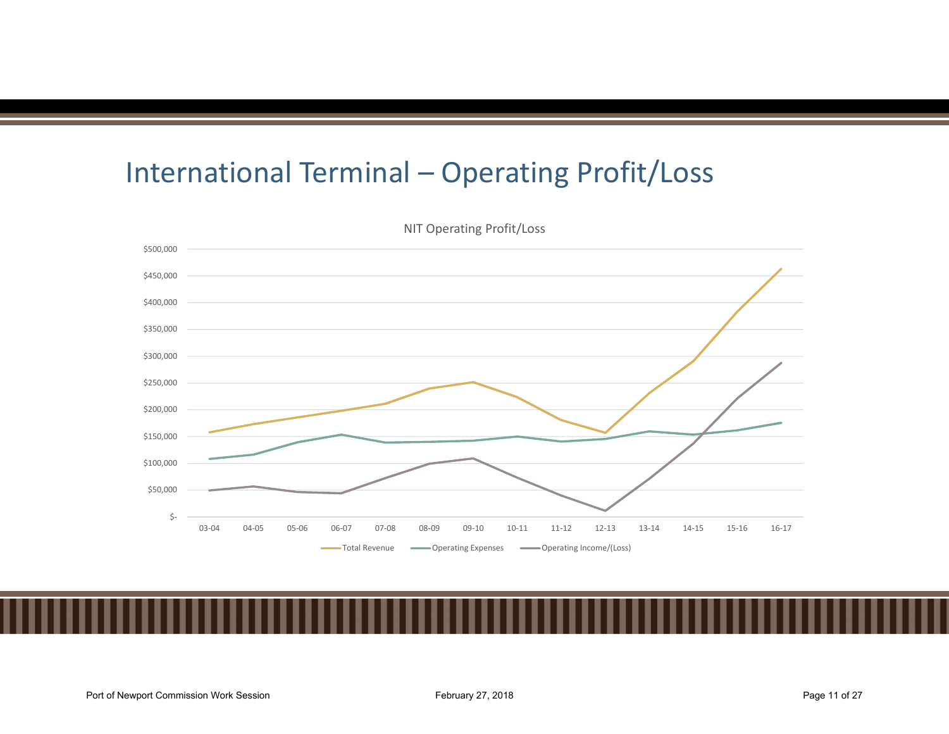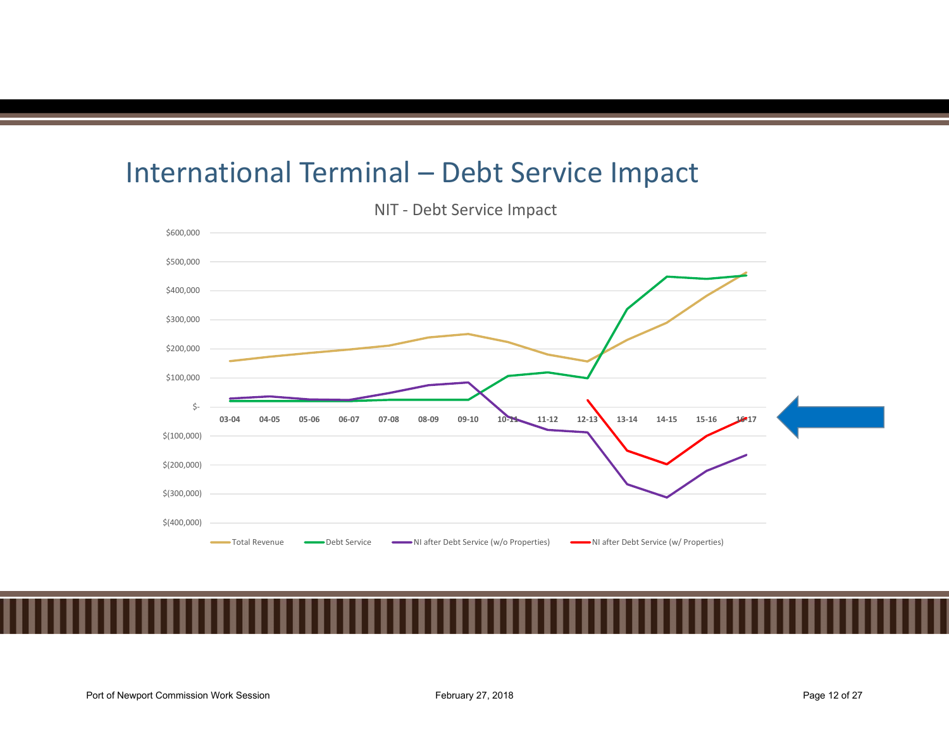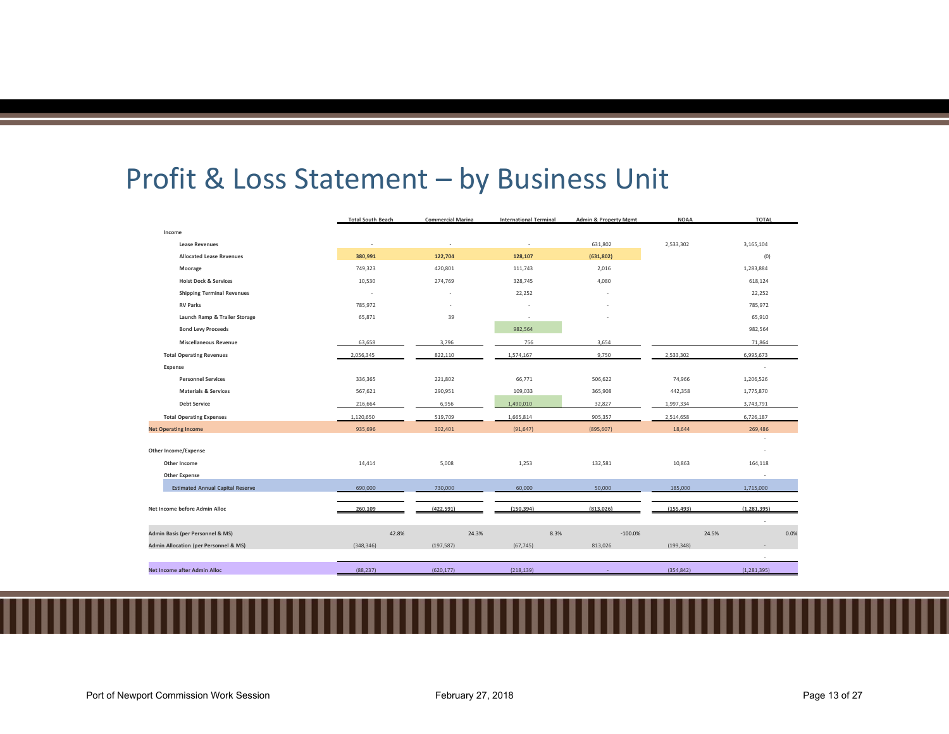| Profit & Loss Statement - by Business Unit                                           |                          |                          |                               |                                                      |                     |                          |
|--------------------------------------------------------------------------------------|--------------------------|--------------------------|-------------------------------|------------------------------------------------------|---------------------|--------------------------|
|                                                                                      |                          |                          |                               |                                                      |                     |                          |
|                                                                                      |                          |                          |                               |                                                      |                     |                          |
|                                                                                      | <b>Total South Beach</b> | <b>Commercial Marina</b> | <b>International Terminal</b> | <b>Admin &amp; Property Mgmt</b>                     | <b>NOAA</b>         | <b>TOTAL</b>             |
| Income                                                                               |                          |                          |                               |                                                      |                     |                          |
| <b>Lease Revenues</b>                                                                | $\sim$                   | $\sim$                   | $\sim$                        | 631,802                                              | 2,533,302           | 3,165,104                |
| <b>Allocated Lease Revenues</b>                                                      | 380,991                  | 122,704                  | 128,107                       | (631, 802)                                           |                     | (0)                      |
| Moorage                                                                              | 749,323                  | 420,801                  | 111,743                       | 2,016                                                |                     | 1,283,884                |
| <b>Hoist Dock &amp; Services</b><br><b>Shipping Terminal Revenues</b>                | 10,530<br>$\sim$         | 274,769<br>$\sim$        | 328,745<br>22,252             | 4,080<br>$\overline{\phantom{a}}$                    |                     | 618,124<br>22,252        |
| <b>RV Parks</b>                                                                      | 785,972                  | $\sim$                   |                               |                                                      |                     | 785,972                  |
|                                                                                      | 65,871                   | 39                       | $\sim$<br>$\sim$              | $\overline{\phantom{a}}$<br>$\overline{\phantom{a}}$ |                     | 65,910                   |
| Launch Ramp & Trailer Storage<br><b>Bond Levy Proceeds</b>                           |                          |                          | 982,564                       |                                                      |                     | 982,564                  |
| <b>Miscellaneous Revenue</b>                                                         | 63,658                   | 3,796                    | 756                           | 3,654                                                |                     | 71,864                   |
| <b>Total Operating Revenues</b>                                                      | 2,056,345                | 822,110                  | 1,574,167                     | 9,750                                                | 2,533,302           | 6,995,673                |
| Expense                                                                              |                          |                          |                               |                                                      |                     | $\sim$                   |
|                                                                                      |                          | 221,802                  | 66,771                        | 506,622                                              | 74,966              | 1,206,526                |
|                                                                                      |                          |                          | 109,033                       | 365,908                                              | 442,358             | 1,775,870                |
| <b>Personnel Services</b><br><b>Materials &amp; Services</b>                         | 336,365<br>567,621       | 290,951                  |                               |                                                      |                     |                          |
| <b>Debt Service</b>                                                                  | 216,664                  | 6,956                    | 1,490,010                     | 32,827                                               | 1,997,334           | 3,743,791                |
| <b>Total Operating Expenses</b>                                                      | 1,120,650                | 519,709                  | 1,665,814                     | 905,357                                              | 2,514,658           | 6,726,187                |
| <b>Net Operating Income</b>                                                          | 935,696                  | 302,401                  | (91, 647)                     | (895, 607)                                           | 18,644              | 269,486                  |
|                                                                                      |                          |                          |                               |                                                      |                     | $\sim$                   |
| Other Income/Expense                                                                 |                          |                          |                               |                                                      |                     | $\overline{\phantom{a}}$ |
| Other Income                                                                         | 14,414                   | 5,008                    | 1,253                         | 132,581                                              | 10,863              | 164,118                  |
| <b>Other Expense</b><br><b>Estimated Annual Capital Reserve</b>                      | 690,000                  | 730,000                  | 60,000                        | 50,000                                               | 185,000             | $\sim$<br>1,715,000      |
| Net Income before Admin Alloc                                                        | 260,109                  | (422, 591)               | (150, 394)                    | (813, 026)                                           | (155, 493)          | (1, 281, 395)            |
|                                                                                      |                          |                          |                               |                                                      |                     | $\mathcal{L}$            |
| Admin Basis (per Personnel & MS)<br><b>Admin Allocation (per Personnel &amp; MS)</b> | 42.8%<br>(348, 346)      | 24.3%<br>(197, 587)      | 8.3%<br>(67, 745)             | $-100.0\%$<br>813,026                                | 24.5%<br>(199, 348) | 0.0%                     |
| Net Income after Admin Alloc                                                         | (88, 237)                | (620, 177)               | (218, 139)                    |                                                      | (354, 842)          | (1,281,395)              |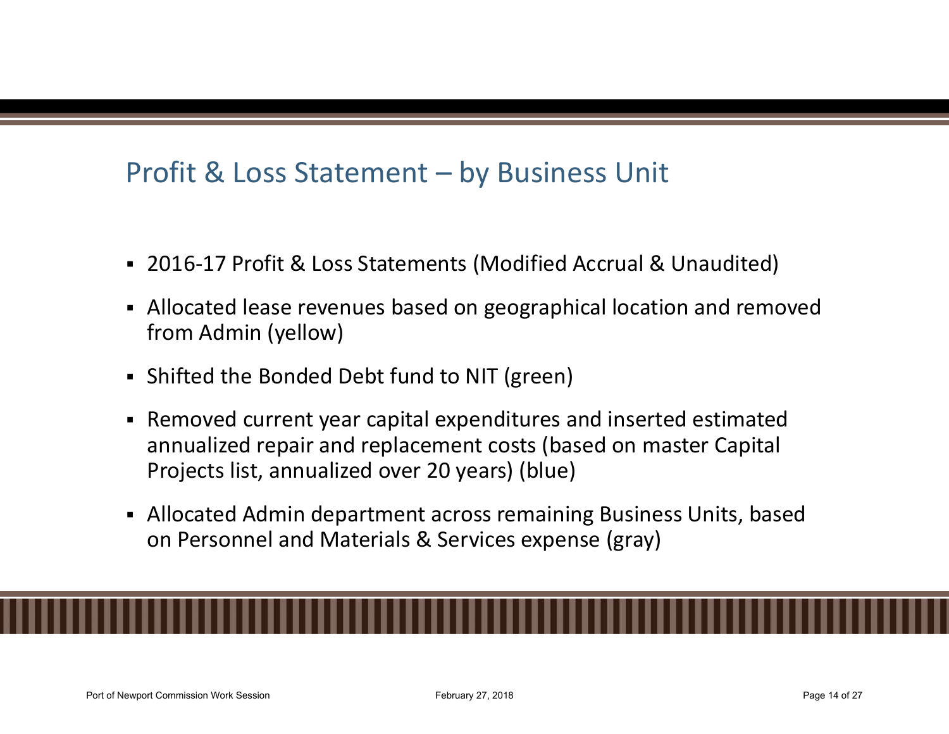# Profit & Loss Statement – by Business Unit<br>2016-17 Profit & Loss Statements (Modified Accrual & Unaudited)

- 2016-17 Profit & Loss Statements (Modified Accrual & Unaudited)
- Allocated lease revenues based on geographical location and removed from Admin (yellow)
- Shifted the Bonded Debt fund to NIT (green)
- Removed current year capital expenditures and inserted estimated annualized repair and replacement costs (based on master Capital Projects list, annualized over 20 years) (blue)
- Allocated Admin department across remaining Business Units, based on Personnel and Materials & Services expense (gray)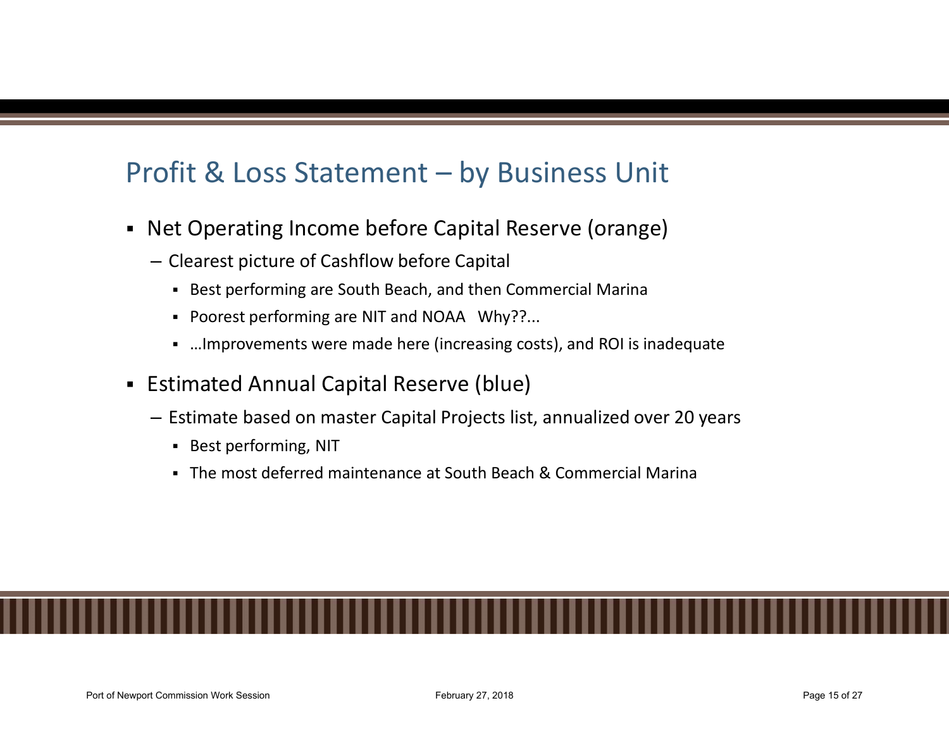## Profit & Loss Statement — by Business Unit<br>• Net Operating Income before Capital Reserve (orange)<br>— Clearest picture of Cashflow before Capital Figure 1 Consisted picture of Cashflow before Capital Reserve (orange)<br>
- Clearest picture of Cashflow before Capital<br>
- Best performing are South Beach, and then Commercial Marina<br>
- Poorest performing are NIT and NOAA Wh

- Net Operating Income before Capital Reserve (orange)
	- -
		- Poorest performing are NIT and NOAA Why??...
		- …Improvements were made here (increasing costs), and ROI is inadequate
- **Estimated Annual Capital Reserve (blue)** 
	- Estimate based on master Capital Projects list, annualized over 20 years
		- **Best performing, NIT**
		- The most deferred maintenance at South Beach & Commercial Marina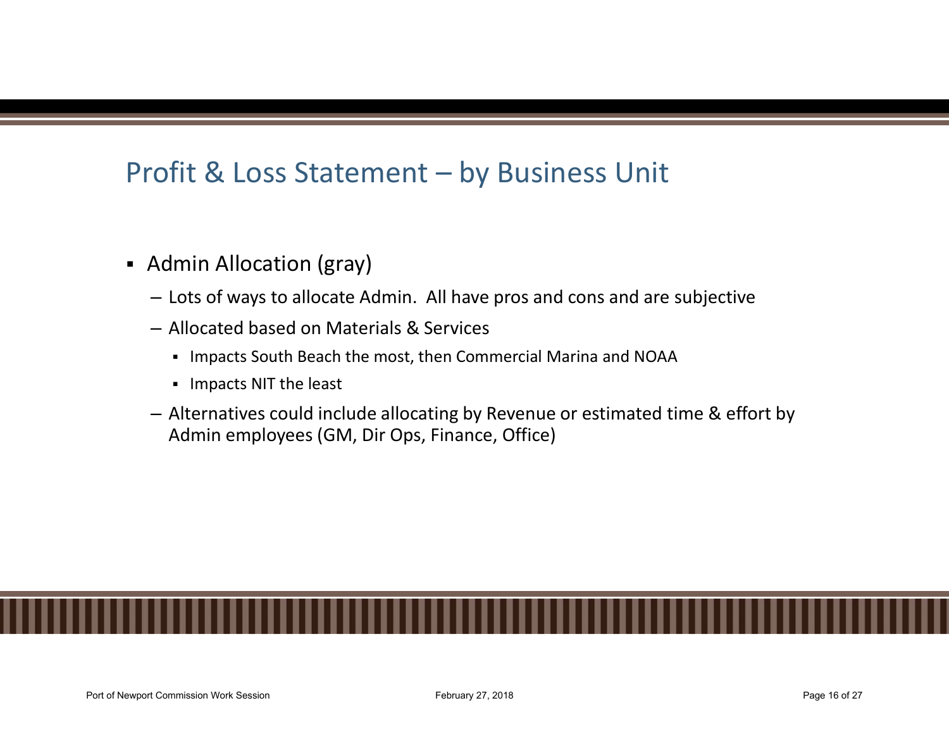# Profit & Loss Statement – by Business Unit<br>Profit & Loss Statement – by Business Unit

- Admin Allocation (gray)
	- Lots of ways to allocate Admin. All have pros and cons and are subjective
	- Allocated based on Materials & Services
		- Impacts South Beach the most, then Commercial Marina and NOAA
		- **Impacts NIT the least**
	- Alternatives could include allocating by Revenue or estimated time & effort by Admin employees (GM, Dir Ops, Finance, Office)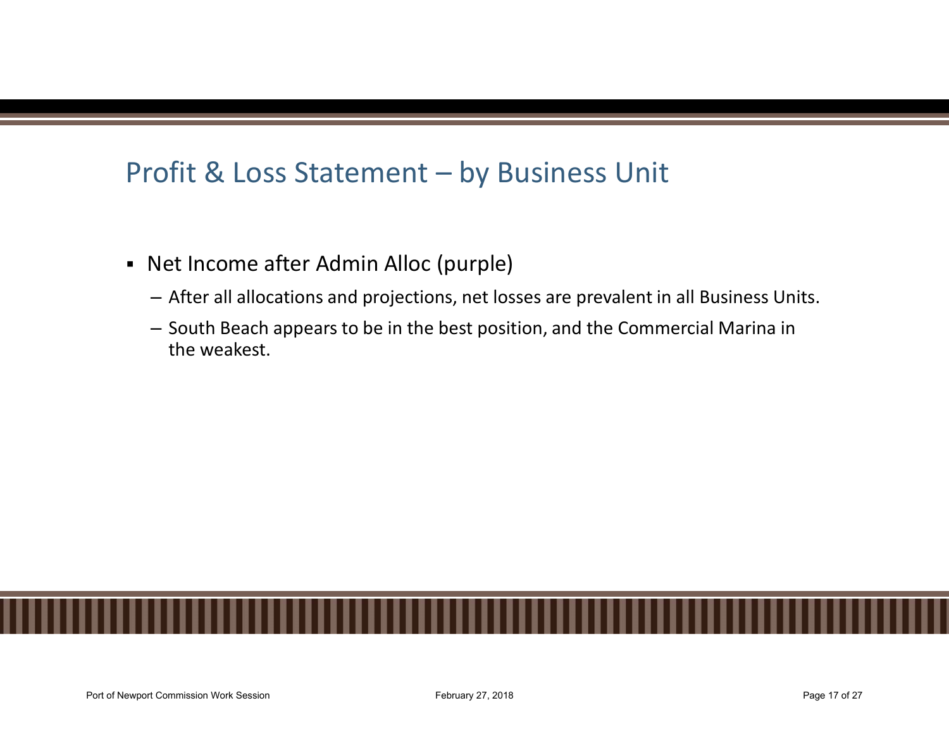# Profit & Loss Statement – by Business Unit<br>Profit & Loss Statement – by Business Unit

- -
- Profit & Loss Statement by Business Unit<br>
 Net Income after Admin Alloc (purple)<br>
 After all allocations and projections, net losses are prevalent in all Business Units.<br>
 South Beach appears to be in the best positio the weakest.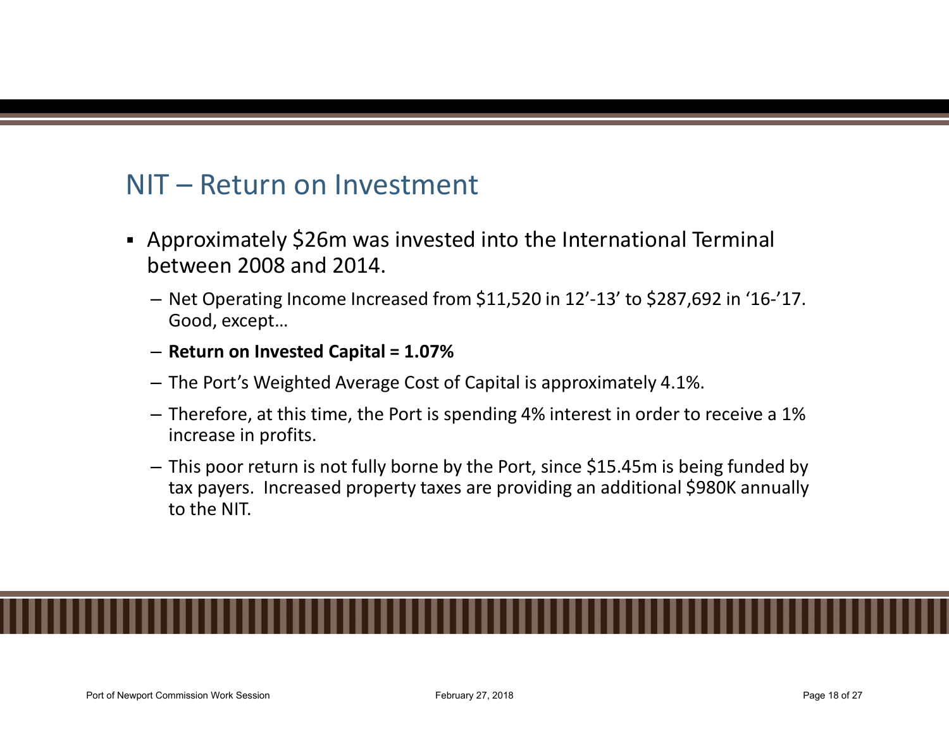- NIT Return on Investment<br>
 Approximately \$26m was invested into the Inte<br>
between 2008 and 2014. Approximately \$26m was invested into the International Terminal between 2008 and 2014.
	- Net Operating Income Increased from \$11,520 in 12'-13' to \$287,692 in '16-'17. Good, except…
	- Return on Invested Capital = 1.07%
	- The Port's Weighted Average Cost of Capital is approximately 4.1%.
	- Therefore, at this time, the Port is spending 4% interest in order to receive a 1% increase in profits.
	- This poor return is not fully borne by the Port, since \$15.45m is being funded by tax payers. Increased property taxes are providing an additional \$980K annually to the NIT.

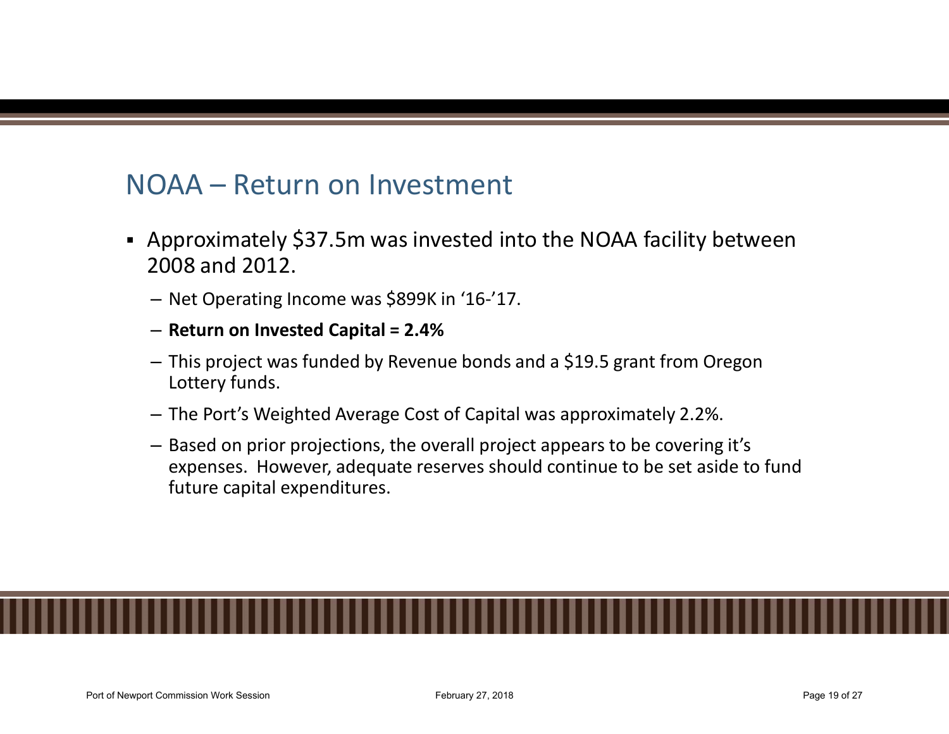- NOAA Return on Investment<br>• Approximately \$37.5m was invested into the NOAA<br>2008 and 2012. Approximately \$37.5m was invested into the NOAA facility between 2008 and 2012.
	- Net Operating Income was \$899K in '16-'17.
	- Return on Invested Capital = 2.4%
	- This project was funded by Revenue bonds and a \$19.5 grant from Oregon Lottery funds.
	- The Port's Weighted Average Cost of Capital was approximately 2.2%.
	- Based on prior projections, the overall project appears to be covering it's expenses. However, adequate reserves should continue to be set aside to fund future capital expenditures.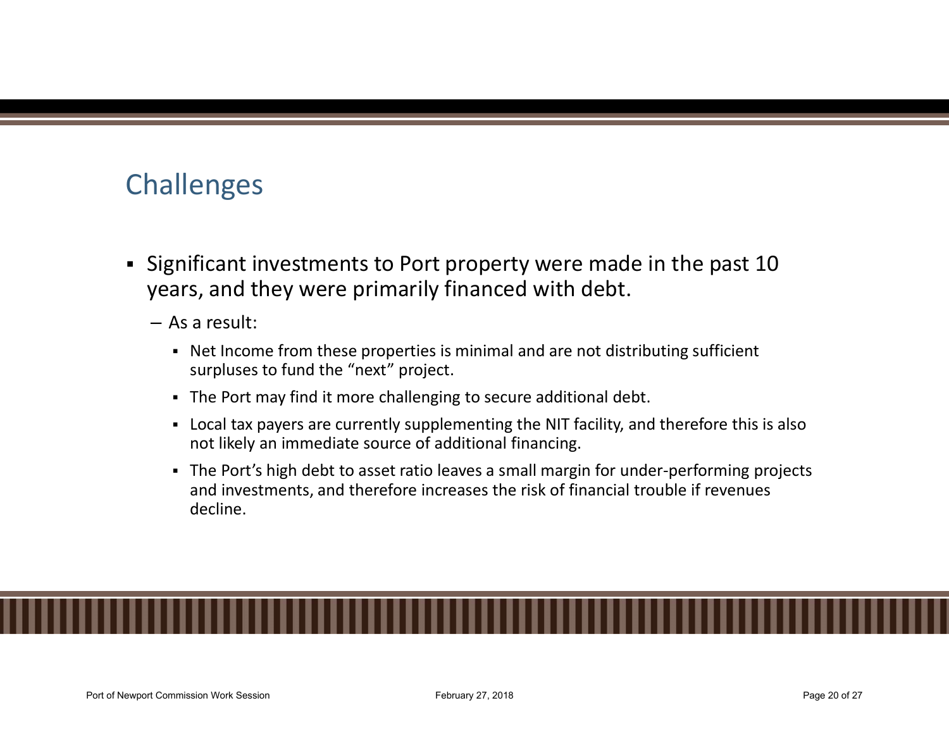## Challenges

- Significant investments to Port property were made in the past 10 years, and they were primarily financed with debt.
	- As a result:
		- Net Income from these properties is minimal and are not distributing sufficient surpluses to fund the "next" project.
		- The Port may find it more challenging to secure additional debt.
		- Local tax payers are currently supplementing the NIT facility, and therefore this is also not likely an immediate source of additional financing.
		- The Port's high debt to asset ratio leaves a small margin for under-performing projects and investments, and therefore increases the risk of financial trouble if revenues decline.

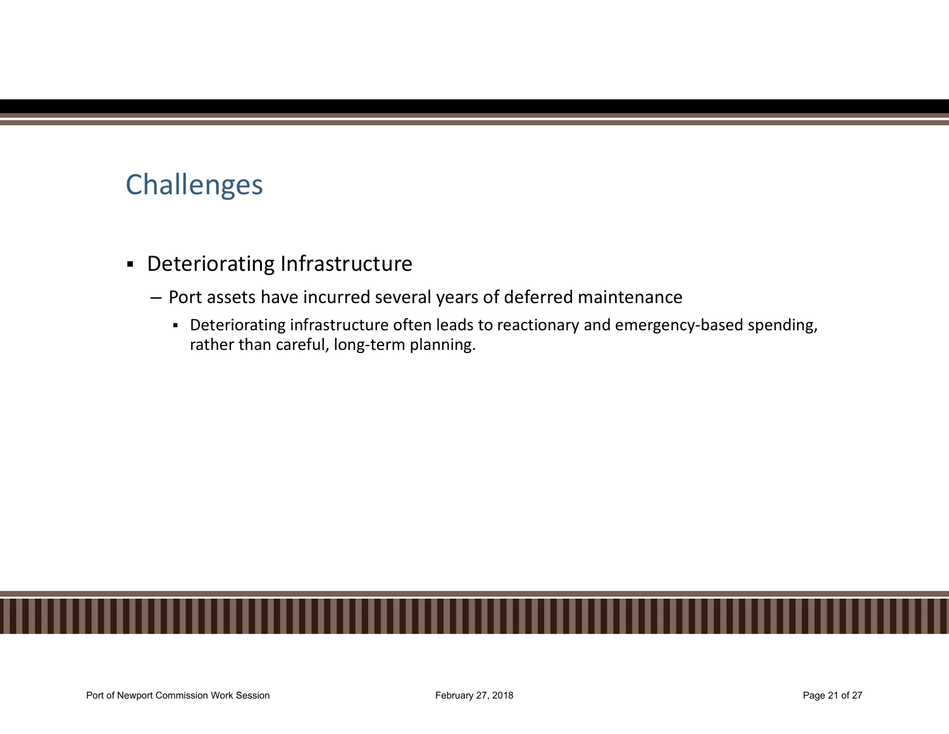## Challenges

- Deteriorating Infrastructure
	- Port assets have incurred several years of deferred maintenance
		- Deteriorating infrastructure often leads to reactionary and emergency-based spending, rather than careful, long-term planning.

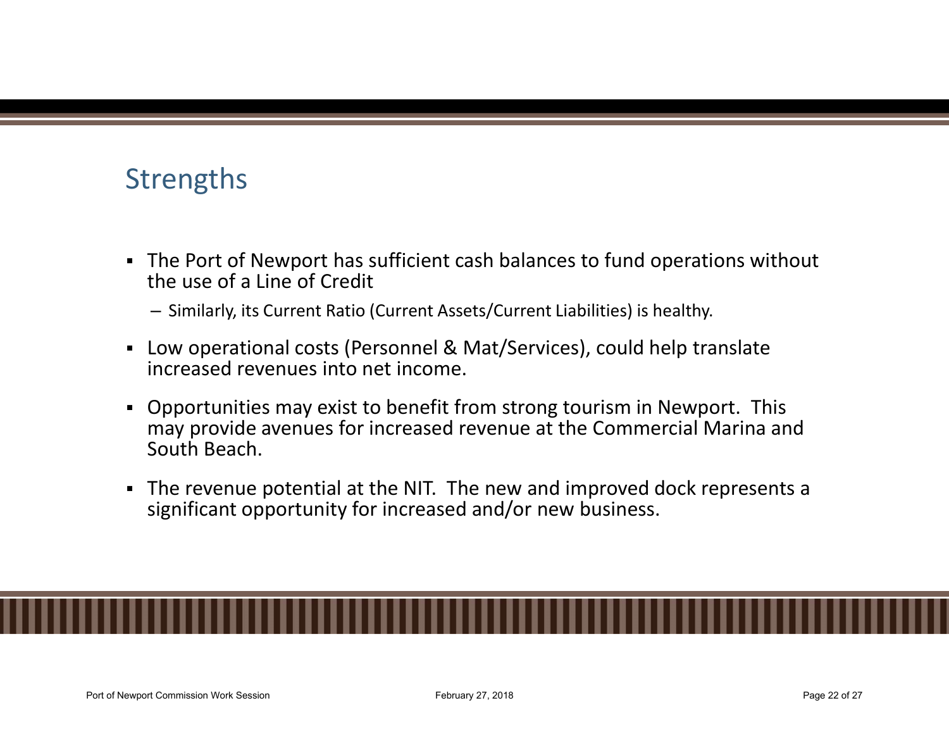## **Strengths**

- The Port of Newport has sufficient cash balances to fund operations without the use of a Line of Credit
	- Similarly, its Current Ratio (Current Assets/Current Liabilities) is healthy.
- Low operational costs (Personnel & Mat/Services), could help translate increased revenues into net income.
- Opportunities may exist to benefit from strong tourism in Newport. This may provide avenues for increased revenue at the Commercial Marina and South Beach.
- The revenue potential at the NIT. The new and improved dock represents a significant opportunity for increased and/or new business.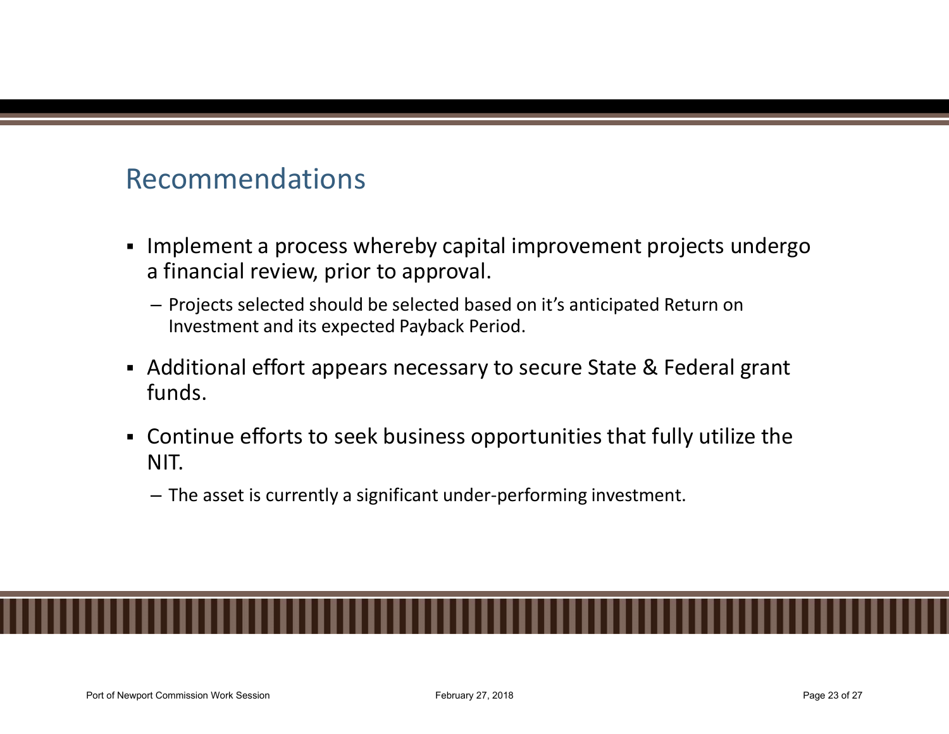## Recommendations

- **Implement a process whereby capital improvement projects undergo** a financial review, prior to approval.
	- Projects selected should be selected based on it's anticipated Return on Investment and its expected Payback Period.
- Additional effort appears necessary to secure State & Federal grant funds.
- Continue efforts to seek business opportunities that fully utilize the NIT.
	- The asset is currently a significant under-performing investment.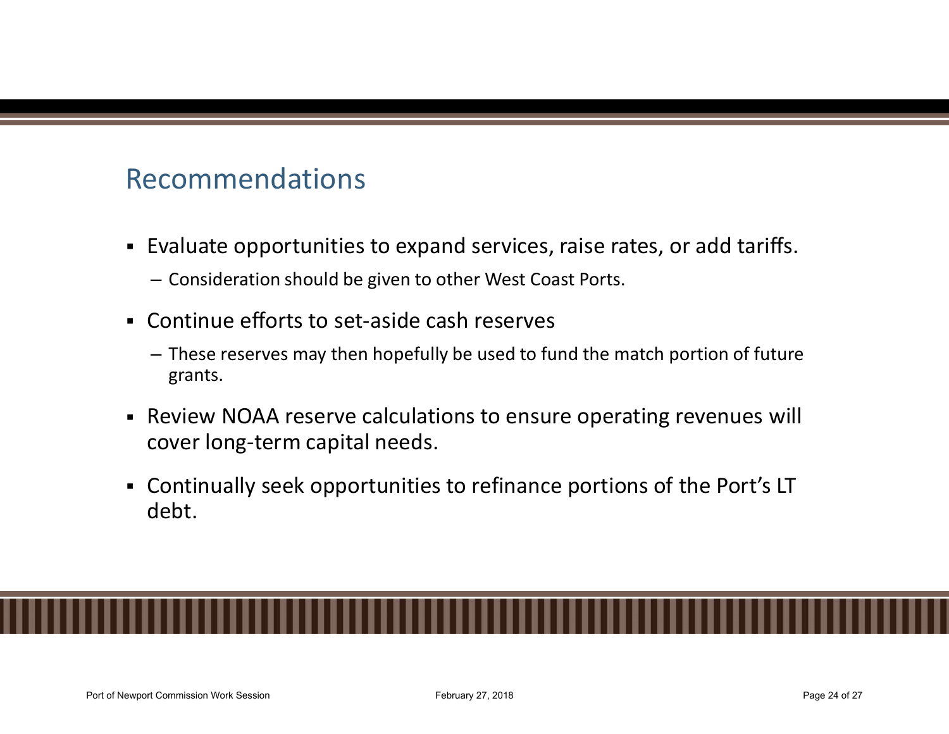## Recommendations

- Evaluate opportunities to expand services, raise rates, or add tariffs.
	- Consideration should be given to other West Coast Ports.
- Continue efforts to set-aside cash reserves
	- These reserves may then hopefully be used to fund the match portion of future grants.
- Review NOAA reserve calculations to ensure operating revenues will cover long-term capital needs.
- Continually seek opportunities to refinance portions of the Port's LT debt.

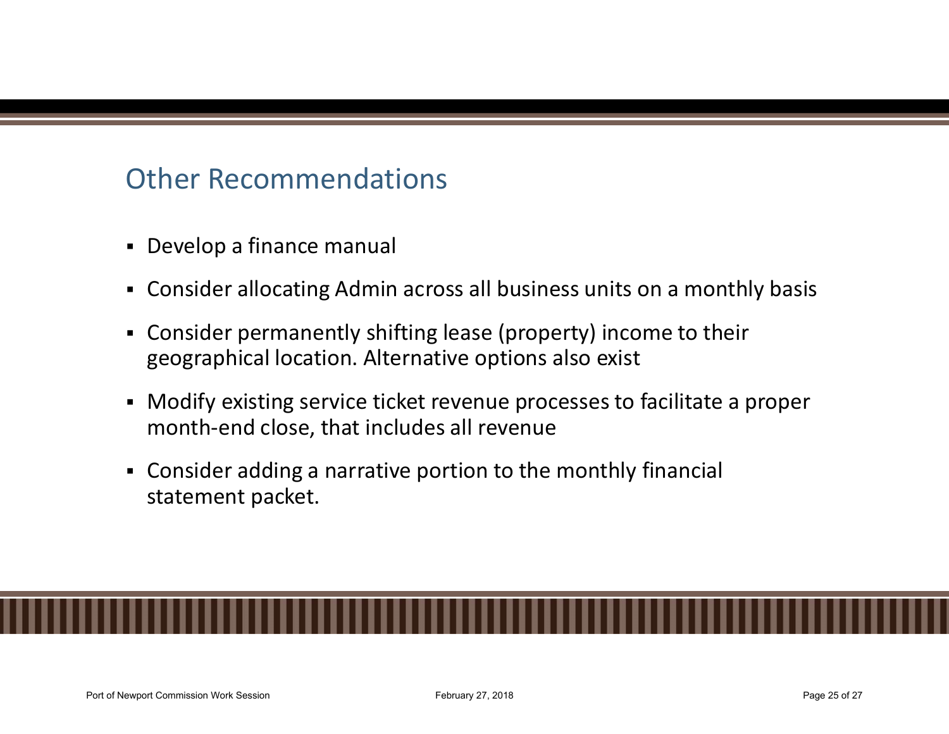## Other Recommendations

- Develop a finance manual
- Consider allocating Admin across all business units on a monthly basis
- Consider permanently shifting lease (property) income to their geographical location. Alternative options also exist
- Modify existing service ticket revenue processes to facilitate a proper month-end close, that includes all revenue
- Consider adding a narrative portion to the monthly financial statement packet.

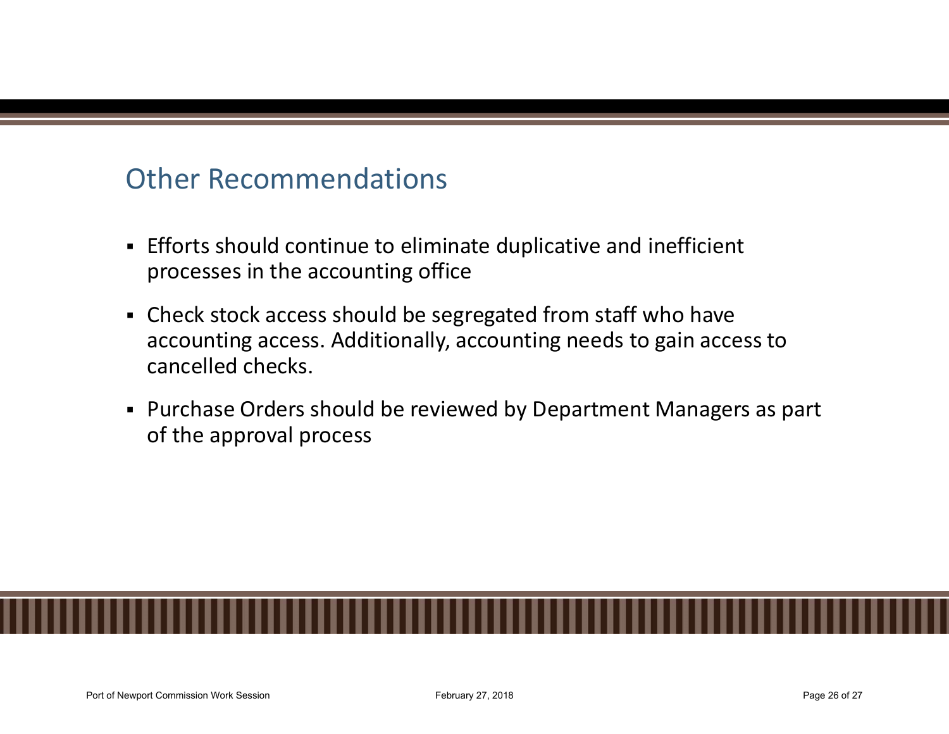## Other Recommendations

- Efforts should continue to eliminate duplicative and inefficient processes in the accounting office
- Check stock access should be segregated from staff who have accounting access. Additionally, accounting needs to gain access to cancelled checks.
- Purchase Orders should be reviewed by Department Managers as part of the approval process